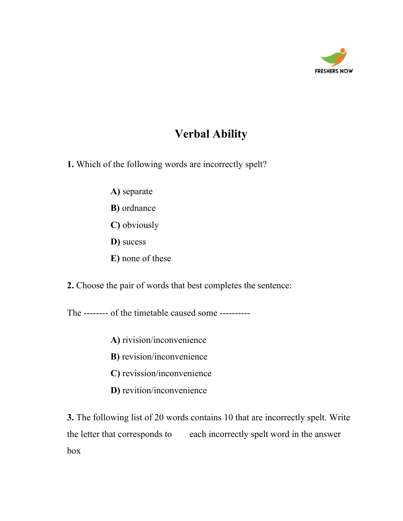

# **Verbal Ability**

**1.** Which of the following words are incorrectly spelt?

- **A)** separate
- **B)** ordnance
- **C)** obviously
- **D)** sucess
- **E)** none of these

**2.** Choose the pair of words that best completes the sentence:

The -------- of the timetable caused some ----------

- **A)** rivision/inconvenience
- **B)** revision/inconvenience
- **C)** revission/inconvenience
- **D)** revition/inconvenience

**3.** The following list of 20 words contains 10 that are incorrectly spelt. Write the letter that corresponds to each incorrectly spelt word in the answer box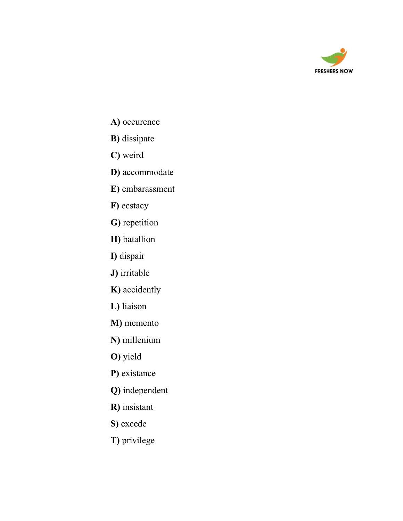

- **A)** occurence
- **B)** dissipate
- **C)** weird
- **D)** accommodate
- **E)** embarassment
- **F)** ecstacy
- **G)** repetition
- **H)** batallion
- **I)** dispair
- **J)** irritable
- **K)** accidently
- **L)** liaison
- **M)** memento
- **N)** millenium
- **O)** yield
- **P)** existance
- **Q)** independent
- **R)** insistant
- **S)** excede
- **T)** privilege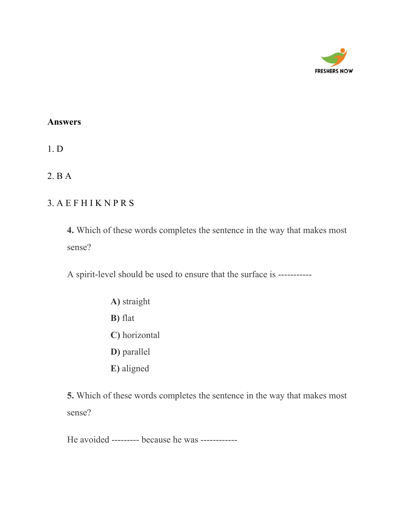

1. D

2. B A

## 3. A E F H I K N P R S

**4.** Which of these words completes the sentence in the way that makes most sense?

A spirit-level should be used to ensure that the surface is -----------

**A)** straight **B)** flat **C)** horizontal **D)** parallel **E)** aligned

**5.** Which of these words completes the sentence in the way that makes most sense?

He avoided --------- because he was ------------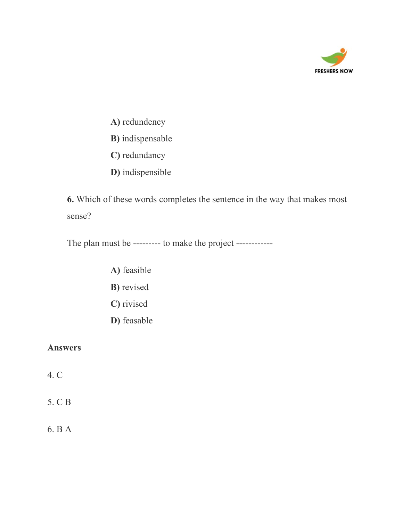

- **A)** redundency
- **B)** indispensable
- **C)** redundancy
- **D)** indispensible

**6.** Which of these words completes the sentence in the way that makes most sense?

The plan must be --------- to make the project ------------

- **A)** feasible
- **B)** revised
- **C)** rivised
- **D)** feasable

#### **Answers**

4. C

5. C B

6. B A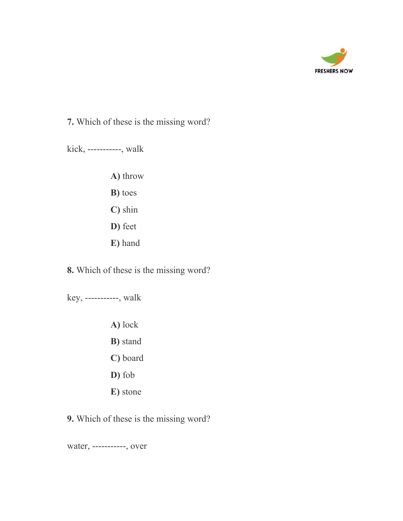

**7.** Which of these is the missing word?

kick, -----------, walk

- **A)** throw
- **B)** toes
- **C)** shin
- **D)** feet
- **E)** hand

**8.** Which of these is the missing word?

key, -----------, walk

- **A)** lock **B)** stand **C)** board
- 
- **D)** fob
- **E)** stone

**9.** Which of these is the missing word?

water, -----------, over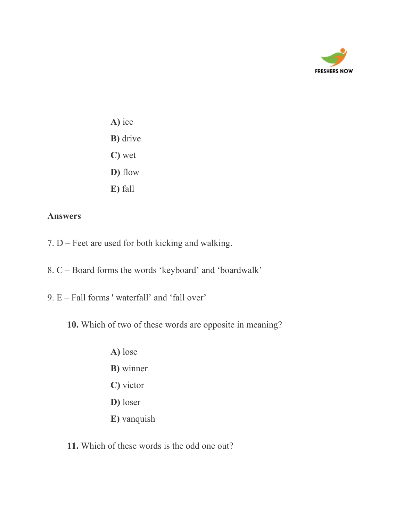

- **A)** ice **B)** drive **C)** wet **D)** flow
- **E)** fall

- 7. D Feet are used for both kicking and walking.
- 8. C Board forms the words 'keyboard' and 'boardwalk'
- 9. E Fall forms ' waterfall' and 'fall over'
	- **10.** Which of two of these words are opposite in meaning?
		- **A)** lose
		- **B)** winner
		- **C)** victor
		- **D)** loser
		- **E)** vanquish
	- **11.** Which of these words is the odd one out?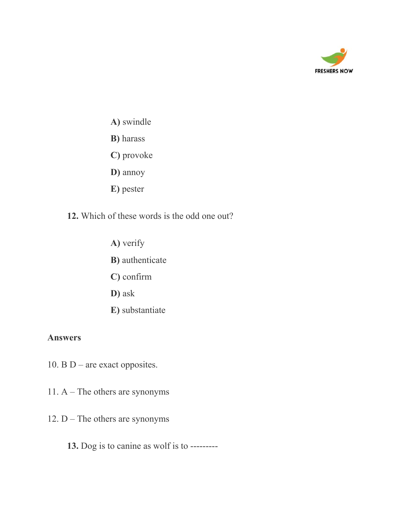

- **A)** swindle
- **B)** harass
- **C)** provoke
- **D)** annoy
- **E)** pester
- **12.** Which of these words is the odd one out?
	- **A)** verify **B)** authenticate **C)** confirm **D)** ask **E)** substantiate

- 10. B  $D$  are exact opposites.
- 11. A The others are synonyms
- 12.  $D$  The others are synonyms
	- **13.** Dog is to canine as wolf is to ---------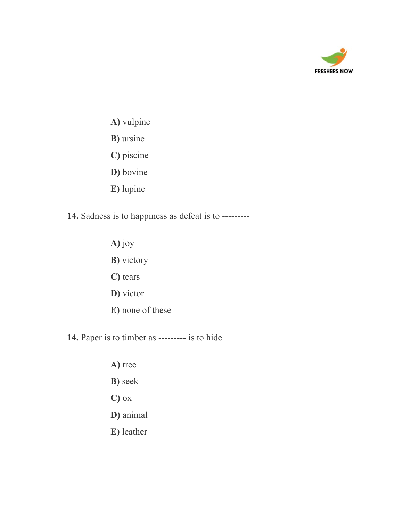

- **A)** vulpine
- **B)** ursine
- **C)** piscine
- **D)** bovine
- **E)** lupine
- **14.** Sadness is to happiness as defeat is to ---------
	- **A)** joy **B)** victory **C)** tears **D)** victor **E)** none of these

**14.** Paper is to timber as --------- is to hide

**A)** tree **B)** seek **C)** ox **D)** animal **E)** leather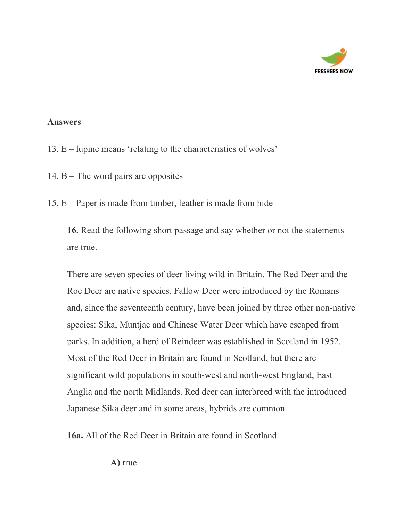

- 13. E lupine means 'relating to the characteristics of wolves'
- 14. B The word pairs are opposites
- 15. E Paper is made from timber, leather is made from hide

**16.** Read the following short passage and say whether or not the statements are true.

There are seven species of deer living wild in Britain. The Red Deer and the Roe Deer are native species. Fallow Deer were introduced by the Romans and, since the seventeenth century, have been joined by three other non-native species: Sika, Muntjac and Chinese Water Deer which have escaped from parks. In addition, a herd of Reindeer was established in Scotland in 1952. Most of the Red Deer in Britain are found in Scotland, but there are significant wild populations in south-west and north-west England, East Anglia and the north Midlands. Red deer can interbreed with the introduced Japanese Sika deer and in some areas, hybrids are common.

**16a.** All of the Red Deer in Britain are found in Scotland.

**A)** true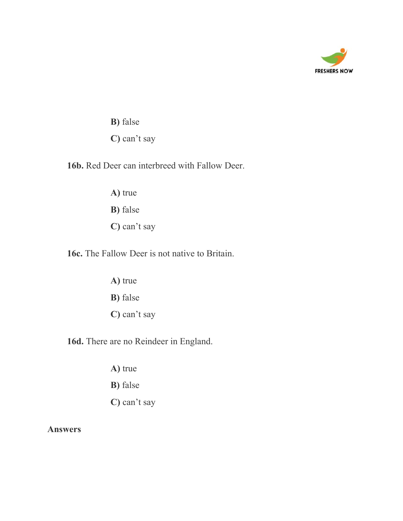

**B)** false **C)** can't say

**16b.** Red Deer can interbreed with Fallow Deer.

**A)** true **B)** false **C)** can't say

**16c.** The Fallow Deer is not native to Britain.

**A)** true **B)** false **C)** can't say

**16d.** There are no Reindeer in England.

- **A)** true
- **B)** false
- **C)** can't say

**Answers**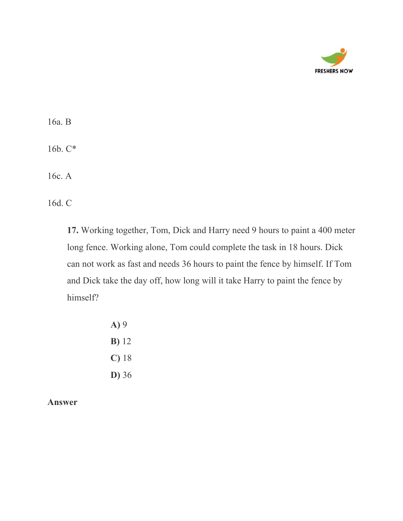

16a. B 16b. C\*

16c. A

16d. C

**17.** Working together, Tom, Dick and Harry need 9 hours to paint a 400 meter long fence. Working alone, Tom could complete the task in 18 hours. Dick can not work as fast and needs 36 hours to paint the fence by himself. If Tom and Dick take the day off, how long will it take Harry to paint the fence by himself?

> **A)** 9 **B)** 12 **C)** 18 **D)** 36

**Answer**